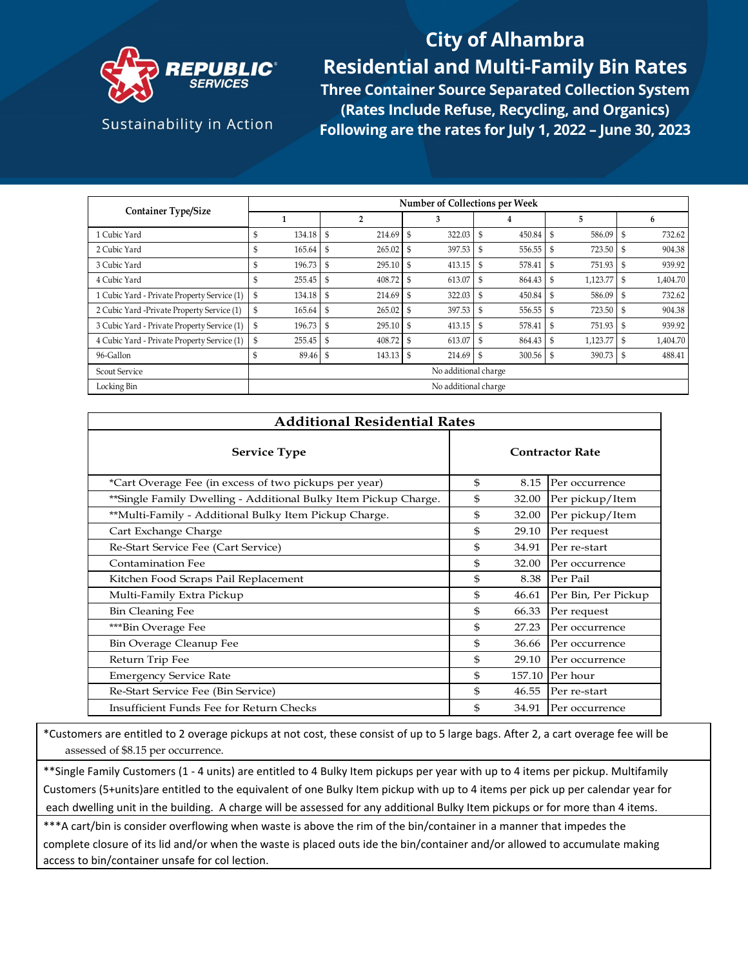

## **City of Alhambra Residential and Multi-Family Bin Rates**

Sustainability in Action

**Three Container Source Separated Collection System (Rates Include Refuse, Recycling, and Organics) Following are the rates for July 1, 2022 – June 30, 2023**

|                                             | Number of Collections per Week |                |               |               |                     |                |  |
|---------------------------------------------|--------------------------------|----------------|---------------|---------------|---------------------|----------------|--|
| <b>Container Type/Size</b>                  |                                | $\overline{2}$ |               | 4             | 5                   | 6              |  |
| 1 Cubic Yard                                | \$<br>134.18                   | - \$<br>214.69 | 322.03<br>\$  | S<br>450.84   | 586.09<br>- \$      | 732.62         |  |
| 2 Cubic Yard                                | \$<br>165.64                   | 265.02         | 397.53        | S<br>556.55   | 723.50              | 904.38         |  |
| 3 Cubic Yard                                | 196.73<br>S                    | 295.10<br>\$   | 413.15<br>-\$ | 578.41<br>S   | 751.93<br>- \$      | 939.92<br>- \$ |  |
| 4 Cubic Yard                                | 255.45<br>S                    | 408.72<br>\$   | 613.07<br>\$  | S<br>864.43   | 1,123.77            | 1,404.70<br>-S |  |
| 1 Cubic Yard - Private Property Service (1) | $134.18$ \$<br>\$              | 214.69 \$      | 322.03        | 450.84<br>S   | 586.09 \$<br>S      | 732.62         |  |
| 2 Cubic Yard -Private Property Service (1)  | 165.64                         | 265.02<br>- \$ | 397.53<br>\$  | \$<br>556.55  | 723.50<br>- \$      | 904.38         |  |
| 3 Cubic Yard - Private Property Service (1) | 196.73<br>\$                   | 295.10<br>\$   | 413.15<br>-S  | 578.41<br>\$  | 751.93              | 939.92         |  |
| 4 Cubic Yard - Private Property Service (1) | \$<br>255.45                   | 408.72<br>- \$ | 613.07<br>\$  | S<br>864.43   | 1,123.77 \$<br>- \$ | 1,404.70       |  |
| 96-Gallon                                   | 89.46 \$                       | 143.13         | 214.69<br>-\$ | -\$<br>300.56 | 390.73<br>- \$      | 488.41<br>- \$ |  |
| <b>Scout Service</b>                        | No additional charge           |                |               |               |                     |                |  |
| Locking Bin                                 | No additional charge           |                |               |               |                     |                |  |

| <b>Additional Residential Rates</b>                             |    |                        |                     |  |  |  |  |
|-----------------------------------------------------------------|----|------------------------|---------------------|--|--|--|--|
| <b>Service Type</b>                                             |    | <b>Contractor Rate</b> |                     |  |  |  |  |
| *Cart Overage Fee (in excess of two pickups per year)           | \$ | 8.15                   | Per occurrence      |  |  |  |  |
| **Single Family Dwelling - Additional Bulky Item Pickup Charge. | \$ | 32.00                  | Per pickup/Item     |  |  |  |  |
| **Multi-Family - Additional Bulky Item Pickup Charge.           | \$ | 32.00                  | Per pickup/Item     |  |  |  |  |
| Cart Exchange Charge                                            | \$ | 29.10                  | Per request         |  |  |  |  |
| Re-Start Service Fee (Cart Service)                             | \$ | 34.91                  | Per re-start        |  |  |  |  |
| Contamination Fee                                               | \$ | 32.00                  | Per occurrence      |  |  |  |  |
| Kitchen Food Scraps Pail Replacement                            | \$ | 8.38                   | Per Pail            |  |  |  |  |
| Multi-Family Extra Pickup                                       | \$ | 46.61                  | Per Bin, Per Pickup |  |  |  |  |
| <b>Bin Cleaning Fee</b>                                         | \$ | 66.33                  | Per request         |  |  |  |  |
| ***Bin Overage Fee                                              | \$ | 27.23                  | Per occurrence      |  |  |  |  |
| Bin Overage Cleanup Fee                                         | \$ | 36.66                  | Per occurrence      |  |  |  |  |
| Return Trip Fee                                                 | \$ | 29.10                  | Per occurrence      |  |  |  |  |
| <b>Emergency Service Rate</b>                                   | \$ |                        | 157.10 Per hour     |  |  |  |  |
| Re-Start Service Fee (Bin Service)                              | \$ | 46.55                  | Per re-start        |  |  |  |  |
| Insufficient Funds Fee for Return Checks                        | \$ | 34.91                  | Per occurrence      |  |  |  |  |

\*Customers are entitled to 2 overage pickups at not cost, these consist of up to 5 large bags. After 2, a cart overage fee will be assessed of \$8.15 per occurrence.

\*\*Single Family Customers (1 - 4 units) are entitled to 4 Bulky Item pickups per year with up to 4 items per pickup. Multifamily Customers (5+units)are entitled to the equivalent of one Bulky Item pickup with up to 4 items per pick up per calendar year for each dwelling unit in the building. A charge will be assessed for any additional Bulky Item pickups or for more than 4 items.

\*\*\*A cart/bin is consider overflowing when waste is above the rim of the bin/container in a manner that impedes the complete closure of its lid and/or when the waste is placed outs ide the bin/container and/or allowed to accumulate making access to bin/container unsafe for col lection.